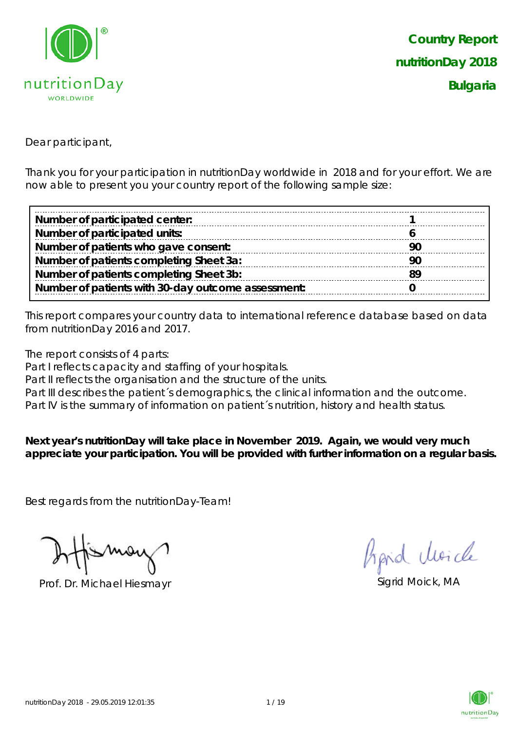

Dear participant,

Thank you for your participation in nutritionDay worldwide in 2018 and for your effort. We are now able to present you your country report of the following sample size:

| Number of participated center:                     |     |
|----------------------------------------------------|-----|
| Number of participated units:                      |     |
| Number of patients who gave consent:               | .9C |
| Number of patients completing Sheet 3a:            | -90 |
| Number of patients completing Sheet 3b:            |     |
| Number of patients with 30-day outcome assessment: |     |

This report compares your country data to international reference database based on data from nutritionDay 2016 and 2017.

The report consists of 4 parts:

Part I reflects capacity and staffing of your hospitals.

Part II reflects the organisation and the structure of the units.

Part III describes the patient's demographics, the clinical information and the outcome.

Part IV is the summary of information on patient's nutrition, history and health status.

**Next year's nutritionDay will take place in November 2019. Again, we would very much appreciate your participation. You will be provided with further information on a regular basis.**

Best regards from the nutritionDay-Team!

Prof. Dr. Michael Hiesmayr Sigrid Moick, MA

hard Moich

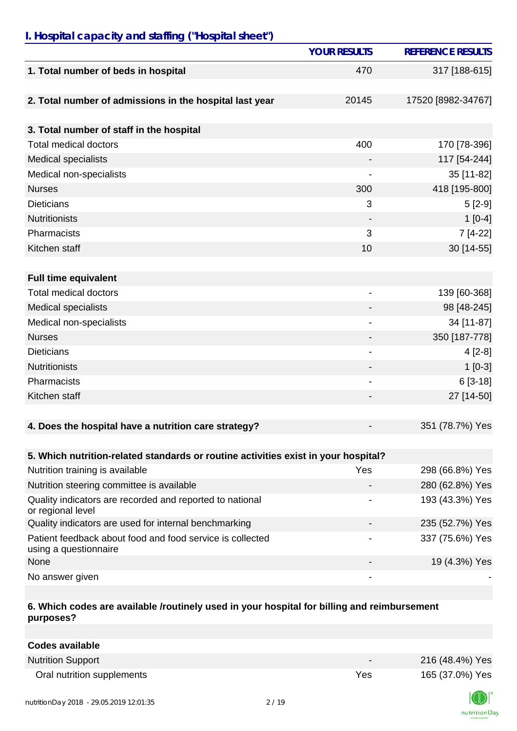### *I. Hospital capacity and staffing ("Hospital sheet")*

|                                                                                    | <b>YOUR RESULTS</b>          | <b>REFERENCE RESULTS</b> |
|------------------------------------------------------------------------------------|------------------------------|--------------------------|
| 1. Total number of beds in hospital                                                | 470                          | 317 [188-615]            |
| 2. Total number of admissions in the hospital last year                            | 20145                        | 17520 [8982-34767]       |
| 3. Total number of staff in the hospital                                           |                              |                          |
| <b>Total medical doctors</b>                                                       | 400                          | 170 [78-396]             |
| <b>Medical specialists</b>                                                         |                              | 117 [54-244]             |
| Medical non-specialists                                                            |                              | 35 [11-82]               |
| <b>Nurses</b>                                                                      | 300                          | 418 [195-800]            |
| <b>Dieticians</b>                                                                  | 3                            | $5[2-9]$                 |
| <b>Nutritionists</b>                                                               |                              | $1[0-4]$                 |
| Pharmacists                                                                        | 3                            | 7 [4-22]                 |
| Kitchen staff                                                                      | 10                           | 30 [14-55]               |
|                                                                                    |                              |                          |
| <b>Full time equivalent</b>                                                        |                              |                          |
| <b>Total medical doctors</b>                                                       |                              | 139 [60-368]             |
| <b>Medical specialists</b>                                                         |                              | 98 [48-245]              |
| Medical non-specialists                                                            | $\qquad \qquad \blacksquare$ | 34 [11-87]               |
| <b>Nurses</b>                                                                      |                              | 350 [187-778]            |
| <b>Dieticians</b>                                                                  | -                            | $4[2-8]$                 |
| <b>Nutritionists</b>                                                               | -                            | $1[0-3]$                 |
| Pharmacists                                                                        |                              | $6[3-18]$                |
| Kitchen staff                                                                      |                              | 27 [14-50]               |
|                                                                                    |                              |                          |
| 4. Does the hospital have a nutrition care strategy?                               |                              | 351 (78.7%) Yes          |
|                                                                                    |                              |                          |
| 5. Which nutrition-related standards or routine activities exist in your hospital? |                              |                          |
| Nutrition training is available                                                    | Yes                          | 298 (66.8%) Yes          |
| Nutrition steering committee is available                                          |                              | 280 (62.8%) Yes          |
| Quality indicators are recorded and reported to national<br>or regional level      |                              | 193 (43.3%) Yes          |
| Quality indicators are used for internal benchmarking                              |                              | 235 (52.7%) Yes          |
| Patient feedback about food and food service is collected<br>using a questionnaire |                              | 337 (75.6%) Yes          |
| None                                                                               |                              | 19 (4.3%) Yes            |
| No answer given                                                                    | -                            |                          |

#### **6. Which codes are available /routinely used in your hospital for billing and reimbursement purposes?**

| Codes available            |                          |                 |
|----------------------------|--------------------------|-----------------|
| <b>Nutrition Support</b>   | $\overline{\phantom{0}}$ | 216 (48.4%) Yes |
| Oral nutrition supplements | Yes                      | 165 (37.0%) Yes |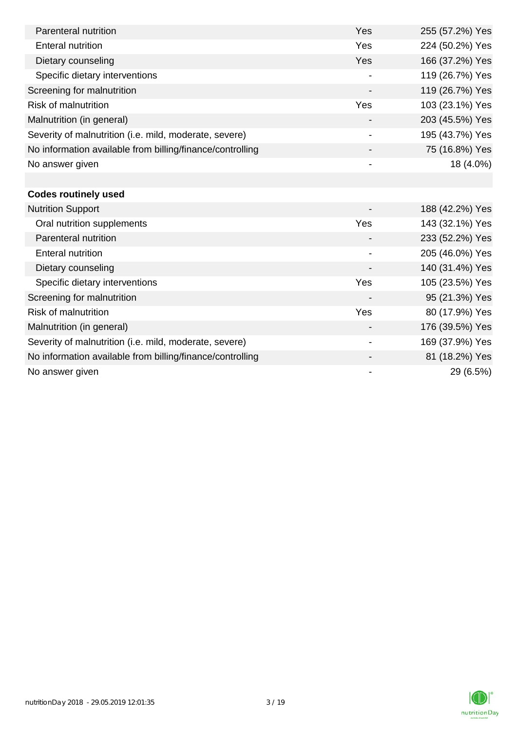| Parenteral nutrition                                      | Yes                      | 255 (57.2%) Yes |
|-----------------------------------------------------------|--------------------------|-----------------|
| <b>Enteral nutrition</b>                                  | Yes                      | 224 (50.2%) Yes |
| Dietary counseling                                        | Yes                      | 166 (37.2%) Yes |
| Specific dietary interventions                            |                          | 119 (26.7%) Yes |
| Screening for malnutrition                                |                          | 119 (26.7%) Yes |
| <b>Risk of malnutrition</b>                               | Yes                      | 103 (23.1%) Yes |
| Malnutrition (in general)                                 |                          | 203 (45.5%) Yes |
| Severity of malnutrition (i.e. mild, moderate, severe)    | $\overline{\phantom{a}}$ | 195 (43.7%) Yes |
| No information available from billing/finance/controlling |                          | 75 (16.8%) Yes  |
| No answer given                                           |                          | 18 (4.0%)       |
|                                                           |                          |                 |
| <b>Codes routinely used</b>                               |                          |                 |
| <b>Nutrition Support</b>                                  |                          | 188 (42.2%) Yes |
| Oral nutrition supplements                                | Yes                      | 143 (32.1%) Yes |
| Parenteral nutrition                                      |                          | 233 (52.2%) Yes |
| <b>Enteral nutrition</b>                                  | $\overline{\phantom{a}}$ | 205 (46.0%) Yes |
| Dietary counseling                                        |                          | 140 (31.4%) Yes |
| Specific dietary interventions                            | Yes                      | 105 (23.5%) Yes |
| Screening for malnutrition                                |                          | 95 (21.3%) Yes  |
| <b>Risk of malnutrition</b>                               | Yes                      | 80 (17.9%) Yes  |
| Malnutrition (in general)                                 | -                        | 176 (39.5%) Yes |
| Severity of malnutrition (i.e. mild, moderate, severe)    | $\blacksquare$           | 169 (37.9%) Yes |
| No information available from billing/finance/controlling |                          | 81 (18.2%) Yes  |
| No answer given                                           | -                        | 29 (6.5%)       |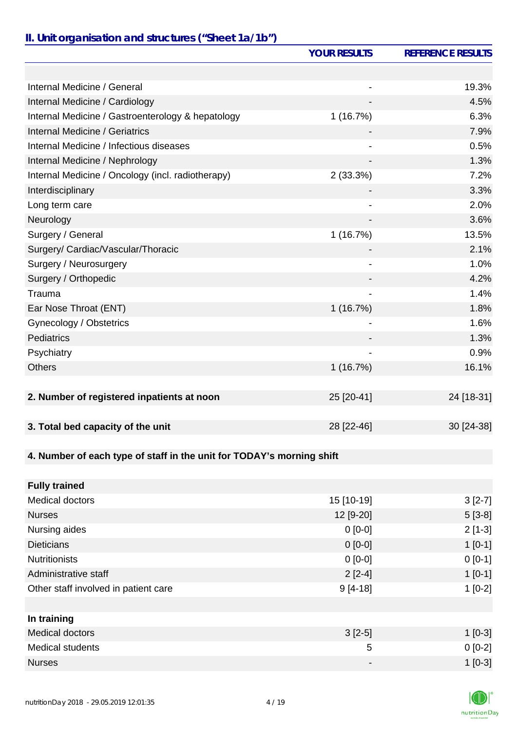## *II. Unit organisation and structures ("Sheet 1a/1b")*

|                                                                       | <b>YOUR RESULTS</b> | <b>REFERENCE RESULTS</b> |
|-----------------------------------------------------------------------|---------------------|--------------------------|
|                                                                       |                     |                          |
| Internal Medicine / General                                           |                     | 19.3%                    |
| Internal Medicine / Cardiology                                        |                     | 4.5%                     |
| Internal Medicine / Gastroenterology & hepatology                     | 1(16.7%)            | 6.3%                     |
| <b>Internal Medicine / Geriatrics</b>                                 |                     | 7.9%                     |
| Internal Medicine / Infectious diseases                               |                     | 0.5%                     |
| Internal Medicine / Nephrology                                        |                     | 1.3%                     |
| Internal Medicine / Oncology (incl. radiotherapy)                     | 2(33.3%)            | 7.2%                     |
| Interdisciplinary                                                     |                     | 3.3%                     |
| Long term care                                                        |                     | 2.0%                     |
| Neurology                                                             |                     | 3.6%                     |
| Surgery / General                                                     | 1(16.7%)            | 13.5%                    |
| Surgery/ Cardiac/Vascular/Thoracic                                    |                     | 2.1%                     |
| Surgery / Neurosurgery                                                |                     | 1.0%                     |
| Surgery / Orthopedic                                                  |                     | 4.2%                     |
| Trauma                                                                |                     | 1.4%                     |
| Ear Nose Throat (ENT)                                                 | 1(16.7%)            | 1.8%                     |
| Gynecology / Obstetrics                                               |                     | 1.6%                     |
| Pediatrics                                                            |                     | 1.3%                     |
| Psychiatry                                                            |                     | 0.9%                     |
| <b>Others</b>                                                         | 1(16.7%)            | 16.1%                    |
|                                                                       |                     |                          |
| 2. Number of registered inpatients at noon                            | 25 [20-41]          | 24 [18-31]               |
|                                                                       |                     |                          |
| 3. Total bed capacity of the unit                                     | 28 [22-46]          | 30 [24-38]               |
|                                                                       |                     |                          |
| 4. Number of each type of staff in the unit for TODAY's morning shift |                     |                          |
|                                                                       |                     |                          |
| <b>Fully trained</b>                                                  |                     |                          |
| <b>Medical doctors</b>                                                | 15 [10-19]          | $3[2-7]$                 |
| <b>Nurses</b>                                                         | 12 [9-20]           | $5[3-8]$                 |
| Nursing aides                                                         | $0[0-0]$            | $2[1-3]$                 |
| <b>Dieticians</b>                                                     | $0[0-0]$            | $1[0-1]$                 |
| <b>Nutritionists</b>                                                  | $0[0-0]$            | $0 [0-1]$                |
| Administrative staff                                                  | $2[2-4]$            | $1[0-1]$                 |
| Other staff involved in patient care                                  | $9[4-18]$           | $1[0-2]$                 |
|                                                                       |                     |                          |
| In training                                                           |                     |                          |
| <b>Medical doctors</b>                                                | $3[2-5]$            | $1[0-3]$                 |
| <b>Medical students</b>                                               | 5                   | $0[0-2]$                 |
| <b>Nurses</b>                                                         | -                   | $1[0-3]$                 |

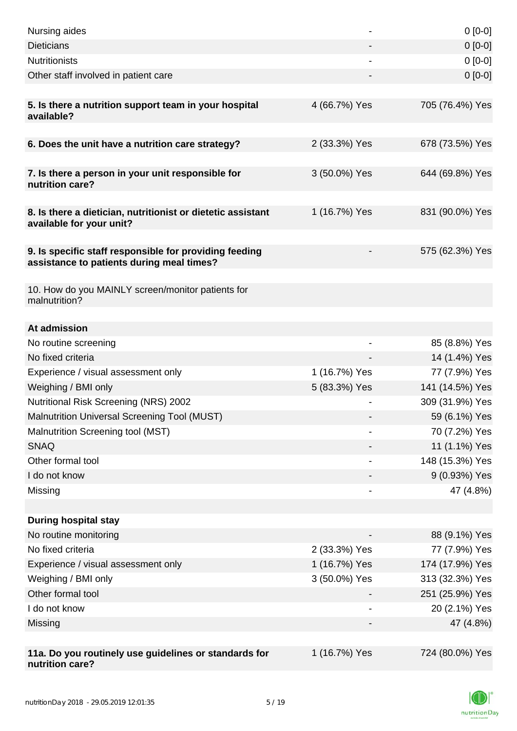| Nursing aides                                                                                       |                | $0[0-0]$                       |
|-----------------------------------------------------------------------------------------------------|----------------|--------------------------------|
| <b>Dieticians</b>                                                                                   |                | $0[0-0]$                       |
| <b>Nutritionists</b>                                                                                |                | $0[0-0]$                       |
| Other staff involved in patient care                                                                |                | $0 [0-0]$                      |
|                                                                                                     |                |                                |
| 5. Is there a nutrition support team in your hospital<br>available?                                 | 4 (66.7%) Yes  | 705 (76.4%) Yes                |
| 6. Does the unit have a nutrition care strategy?                                                    | 2 (33.3%) Yes  | 678 (73.5%) Yes                |
|                                                                                                     |                |                                |
| 7. Is there a person in your unit responsible for<br>nutrition care?                                | 3 (50.0%) Yes  | 644 (69.8%) Yes                |
| 8. Is there a dietician, nutritionist or dietetic assistant<br>available for your unit?             | 1 (16.7%) Yes  | 831 (90.0%) Yes                |
| 9. Is specific staff responsible for providing feeding<br>assistance to patients during meal times? |                | 575 (62.3%) Yes                |
| 10. How do you MAINLY screen/monitor patients for<br>malnutrition?                                  |                |                                |
|                                                                                                     |                |                                |
| At admission                                                                                        |                |                                |
| No routine screening<br>No fixed criteria                                                           |                | 85 (8.8%) Yes                  |
| Experience / visual assessment only                                                                 | 1 (16.7%) Yes  | 14 (1.4%) Yes<br>77 (7.9%) Yes |
| Weighing / BMI only                                                                                 | 5 (83.3%) Yes  | 141 (14.5%) Yes                |
| Nutritional Risk Screening (NRS) 2002                                                               |                | 309 (31.9%) Yes                |
| Malnutrition Universal Screening Tool (MUST)                                                        |                | 59 (6.1%) Yes                  |
| Malnutrition Screening tool (MST)                                                                   |                | 70 (7.2%) Yes                  |
| <b>SNAQ</b>                                                                                         |                | 11 (1.1%) Yes                  |
| Other formal tool                                                                                   |                | 148 (15.3%) Yes                |
| I do not know                                                                                       |                | 9 (0.93%) Yes                  |
| Missing                                                                                             | $\overline{a}$ | 47 (4.8%)                      |
|                                                                                                     |                |                                |
| <b>During hospital stay</b>                                                                         |                |                                |
| No routine monitoring                                                                               |                | 88 (9.1%) Yes                  |
| No fixed criteria                                                                                   | 2 (33.3%) Yes  | 77 (7.9%) Yes                  |
| Experience / visual assessment only                                                                 | 1 (16.7%) Yes  | 174 (17.9%) Yes                |
| Weighing / BMI only                                                                                 | 3 (50.0%) Yes  | 313 (32.3%) Yes                |
| Other formal tool                                                                                   |                | 251 (25.9%) Yes                |
| I do not know                                                                                       |                | 20 (2.1%) Yes                  |
| Missing                                                                                             |                | 47 (4.8%)                      |
|                                                                                                     |                |                                |
| 11a. Do you routinely use guidelines or standards for<br>nutrition care?                            | 1 (16.7%) Yes  | 724 (80.0%) Yes                |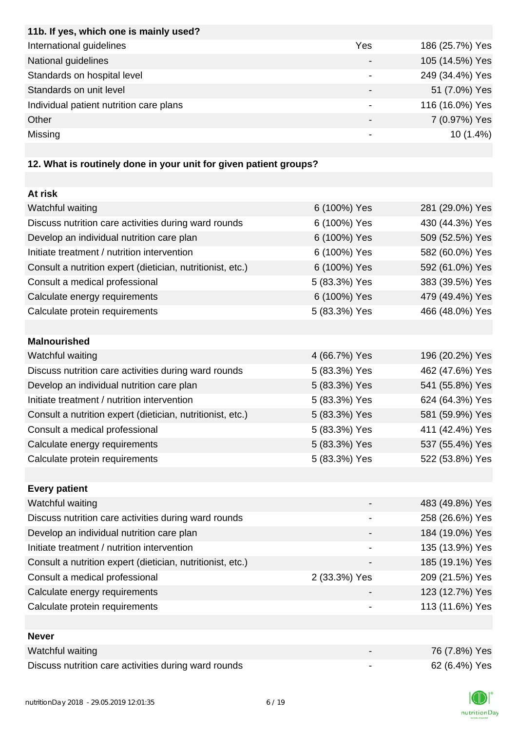| 11b. If yes, which one is mainly used?  |     |                 |
|-----------------------------------------|-----|-----------------|
| International guidelines                | Yes | 186 (25.7%) Yes |
| National guidelines                     |     | 105 (14.5%) Yes |
| Standards on hospital level             |     | 249 (34.4%) Yes |
| Standards on unit level                 |     | 51 (7.0%) Yes   |
| Individual patient nutrition care plans |     | 116 (16.0%) Yes |
| Other                                   |     | 7 (0.97%) Yes   |
| Missing                                 |     | $10(1.4\%)$     |
|                                         |     |                 |

# **12. What is routinely done in your unit for given patient groups?**

| At risk                                                    |               |                 |
|------------------------------------------------------------|---------------|-----------------|
| Watchful waiting                                           | 6 (100%) Yes  | 281 (29.0%) Yes |
| Discuss nutrition care activities during ward rounds       | 6 (100%) Yes  | 430 (44.3%) Yes |
| Develop an individual nutrition care plan                  | 6 (100%) Yes  | 509 (52.5%) Yes |
| Initiate treatment / nutrition intervention                | 6 (100%) Yes  | 582 (60.0%) Yes |
| Consult a nutrition expert (dietician, nutritionist, etc.) | 6 (100%) Yes  | 592 (61.0%) Yes |
| Consult a medical professional                             | 5 (83.3%) Yes | 383 (39.5%) Yes |
| Calculate energy requirements                              | 6 (100%) Yes  | 479 (49.4%) Yes |
| Calculate protein requirements                             | 5 (83.3%) Yes | 466 (48.0%) Yes |
|                                                            |               |                 |
| <b>Malnourished</b>                                        |               |                 |
| Watchful waiting                                           | 4 (66.7%) Yes | 196 (20.2%) Yes |
| Discuss nutrition care activities during ward rounds       | 5 (83.3%) Yes | 462 (47.6%) Yes |
| Develop an individual nutrition care plan                  | 5 (83.3%) Yes | 541 (55.8%) Yes |
| Initiate treatment / nutrition intervention                | 5 (83.3%) Yes | 624 (64.3%) Yes |
| Consult a nutrition expert (dietician, nutritionist, etc.) | 5 (83.3%) Yes | 581 (59.9%) Yes |
| Consult a medical professional                             | 5 (83.3%) Yes | 411 (42.4%) Yes |
| Calculate energy requirements                              | 5 (83.3%) Yes | 537 (55.4%) Yes |
| Calculate protein requirements                             | 5 (83.3%) Yes | 522 (53.8%) Yes |
|                                                            |               |                 |
| <b>Every patient</b>                                       |               |                 |
| Watchful waiting                                           |               | 483 (49.8%) Yes |
| Discuss nutrition care activities during ward rounds       |               | 258 (26.6%) Yes |
| Develop an individual nutrition care plan                  |               | 184 (19.0%) Yes |
| Initiate treatment / nutrition intervention                | -             | 135 (13.9%) Yes |
| Consult a nutrition expert (dietician, nutritionist, etc.) |               | 185 (19.1%) Yes |
| Consult a medical professional                             | 2 (33.3%) Yes | 209 (21.5%) Yes |
| Calculate energy requirements                              |               | 123 (12.7%) Yes |
| Calculate protein requirements                             |               | 113 (11.6%) Yes |
|                                                            |               |                 |
| <b>Never</b>                                               |               |                 |
| Watchful waiting                                           |               | 76 (7.8%) Yes   |
| Discuss nutrition care activities during ward rounds       |               | 62 (6.4%) Yes   |

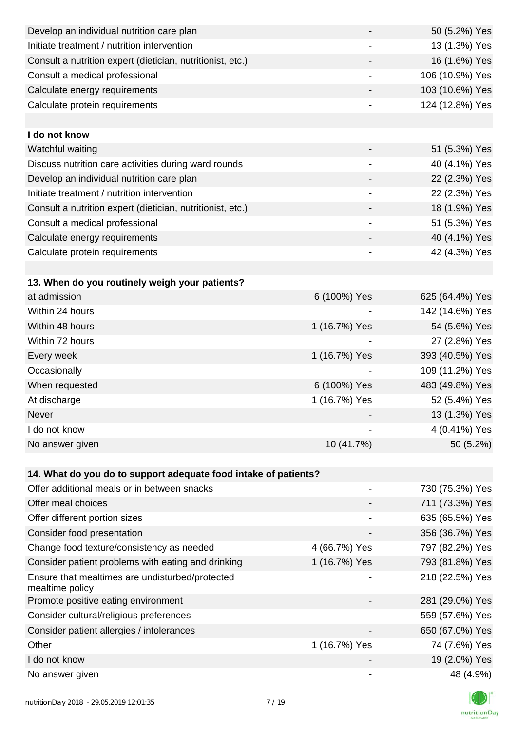| Develop an individual nutrition care plan                          |                              | 50 (5.2%) Yes   |
|--------------------------------------------------------------------|------------------------------|-----------------|
| Initiate treatment / nutrition intervention                        |                              | 13 (1.3%) Yes   |
| Consult a nutrition expert (dietician, nutritionist, etc.)         |                              | 16 (1.6%) Yes   |
| Consult a medical professional                                     | $\qquad \qquad \blacksquare$ | 106 (10.9%) Yes |
| Calculate energy requirements                                      | -                            | 103 (10.6%) Yes |
| Calculate protein requirements                                     |                              | 124 (12.8%) Yes |
|                                                                    |                              |                 |
| I do not know                                                      |                              |                 |
| Watchful waiting                                                   |                              | 51 (5.3%) Yes   |
| Discuss nutrition care activities during ward rounds               | $\qquad \qquad \blacksquare$ | 40 (4.1%) Yes   |
| Develop an individual nutrition care plan                          |                              | 22 (2.3%) Yes   |
| Initiate treatment / nutrition intervention                        |                              | 22 (2.3%) Yes   |
| Consult a nutrition expert (dietician, nutritionist, etc.)         |                              | 18 (1.9%) Yes   |
| Consult a medical professional                                     |                              | 51 (5.3%) Yes   |
| Calculate energy requirements                                      |                              | 40 (4.1%) Yes   |
| Calculate protein requirements                                     | -                            | 42 (4.3%) Yes   |
|                                                                    |                              |                 |
| 13. When do you routinely weigh your patients?                     |                              |                 |
| at admission                                                       | 6 (100%) Yes                 | 625 (64.4%) Yes |
| Within 24 hours                                                    |                              | 142 (14.6%) Yes |
| Within 48 hours                                                    | 1 (16.7%) Yes                | 54 (5.6%) Yes   |
| Within 72 hours                                                    |                              | 27 (2.8%) Yes   |
| Every week                                                         | 1 (16.7%) Yes                | 393 (40.5%) Yes |
| Occasionally                                                       |                              | 109 (11.2%) Yes |
| When requested                                                     | 6 (100%) Yes                 | 483 (49.8%) Yes |
| At discharge                                                       | 1 (16.7%) Yes                | 52 (5.4%) Yes   |
| Never                                                              |                              | 13 (1.3%) Yes   |
| I do not know                                                      |                              | 4 (0.41%) Yes   |
| No answer given                                                    | 10 (41.7%)                   | 50 (5.2%)       |
|                                                                    |                              |                 |
| 14. What do you do to support adequate food intake of patients?    |                              |                 |
| Offer additional meals or in between snacks                        |                              | 730 (75.3%) Yes |
| Offer meal choices                                                 |                              | 711 (73.3%) Yes |
| Offer different portion sizes                                      |                              | 635 (65.5%) Yes |
| Consider food presentation                                         |                              | 356 (36.7%) Yes |
| Change food texture/consistency as needed                          | 4 (66.7%) Yes                | 797 (82.2%) Yes |
| Consider patient problems with eating and drinking                 | 1 (16.7%) Yes                | 793 (81.8%) Yes |
| Ensure that mealtimes are undisturbed/protected<br>mealtime policy |                              | 218 (22.5%) Yes |
| Promote positive eating environment                                |                              | 281 (29.0%) Yes |
| Consider cultural/religious preferences                            |                              | 559 (57.6%) Yes |
| Consider patient allergies / intolerances                          |                              | 650 (67.0%) Yes |
| Other                                                              | 1 (16.7%) Yes                | 74 (7.6%) Yes   |
| I do not know                                                      |                              | 19 (2.0%) Yes   |
| No answer given                                                    | $\overline{\phantom{a}}$     | 48 (4.9%)       |

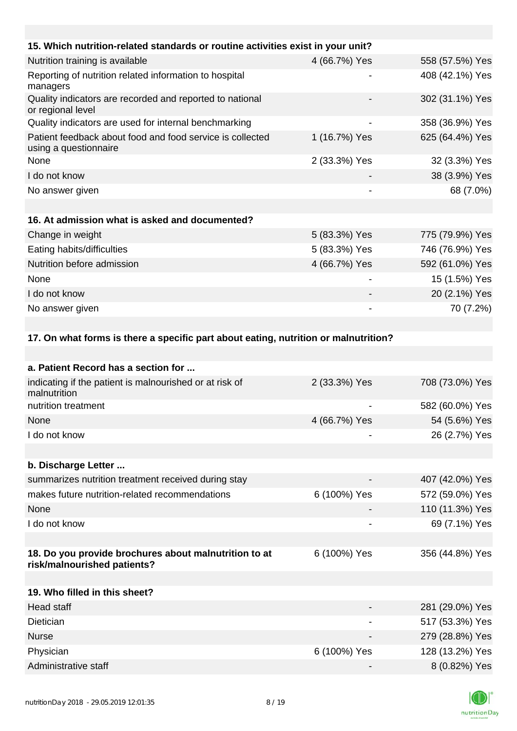| 15. Which nutrition-related standards or routine activities exist in your unit?     |               |                 |
|-------------------------------------------------------------------------------------|---------------|-----------------|
| Nutrition training is available                                                     | 4 (66.7%) Yes | 558 (57.5%) Yes |
| Reporting of nutrition related information to hospital<br>managers                  |               | 408 (42.1%) Yes |
| Quality indicators are recorded and reported to national<br>or regional level       |               | 302 (31.1%) Yes |
| Quality indicators are used for internal benchmarking                               |               | 358 (36.9%) Yes |
| Patient feedback about food and food service is collected<br>using a questionnaire  | 1 (16.7%) Yes | 625 (64.4%) Yes |
| None                                                                                | 2 (33.3%) Yes | 32 (3.3%) Yes   |
| I do not know                                                                       |               | 38 (3.9%) Yes   |
| No answer given                                                                     |               | 68 (7.0%)       |
|                                                                                     |               |                 |
| 16. At admission what is asked and documented?                                      |               |                 |
| Change in weight                                                                    | 5 (83.3%) Yes | 775 (79.9%) Yes |
| Eating habits/difficulties                                                          | 5 (83.3%) Yes | 746 (76.9%) Yes |
| Nutrition before admission                                                          | 4 (66.7%) Yes | 592 (61.0%) Yes |
| None                                                                                |               | 15 (1.5%) Yes   |
| I do not know                                                                       |               | 20 (2.1%) Yes   |
| No answer given                                                                     |               | 70 (7.2%)       |
|                                                                                     |               |                 |
| 17. On what forms is there a specific part about eating, nutrition or malnutrition? |               |                 |

| a. Patient Record has a section for                                                  |               |                 |
|--------------------------------------------------------------------------------------|---------------|-----------------|
| indicating if the patient is malnourished or at risk of<br>malnutrition              | 2 (33.3%) Yes | 708 (73.0%) Yes |
| nutrition treatment                                                                  |               | 582 (60.0%) Yes |
| None                                                                                 | 4 (66.7%) Yes | 54 (5.6%) Yes   |
| I do not know                                                                        |               | 26 (2.7%) Yes   |
|                                                                                      |               |                 |
| b. Discharge Letter                                                                  |               |                 |
| summarizes nutrition treatment received during stay                                  |               | 407 (42.0%) Yes |
| makes future nutrition-related recommendations                                       | 6 (100%) Yes  | 572 (59.0%) Yes |
| None                                                                                 |               | 110 (11.3%) Yes |
| I do not know                                                                        |               | 69 (7.1%) Yes   |
|                                                                                      |               |                 |
| 18. Do you provide brochures about malnutrition to at<br>risk/malnourished patients? | 6 (100%) Yes  | 356 (44.8%) Yes |
|                                                                                      |               |                 |
| 19. Who filled in this sheet?                                                        |               |                 |
| <b>Head staff</b>                                                                    |               | 281 (29.0%) Yes |
| <b>Dietician</b>                                                                     |               | 517 (53.3%) Yes |
| <b>Nurse</b>                                                                         |               | 279 (28.8%) Yes |
| Physician                                                                            | 6 (100%) Yes  | 128 (13.2%) Yes |
| Administrative staff                                                                 |               | 8 (0.82%) Yes   |

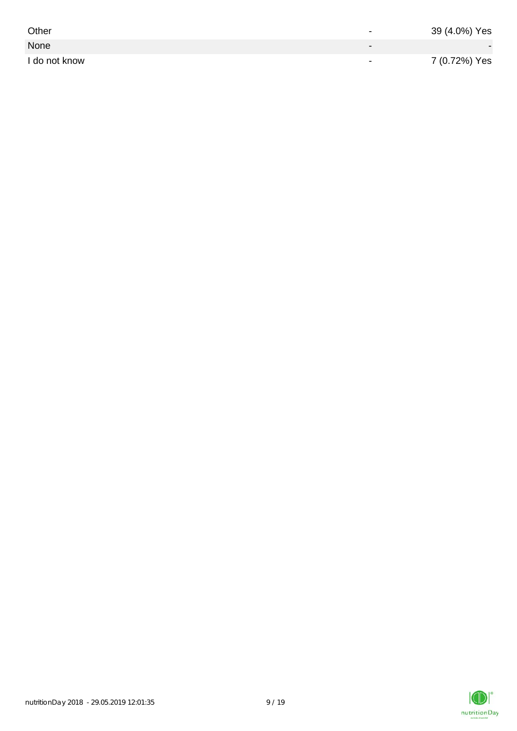| Other         | $\overline{\phantom{0}}$ | 39 (4.0%) Yes |
|---------------|--------------------------|---------------|
| None          |                          |               |
| I do not know | $\,$                     | 7 (0.72%) Yes |

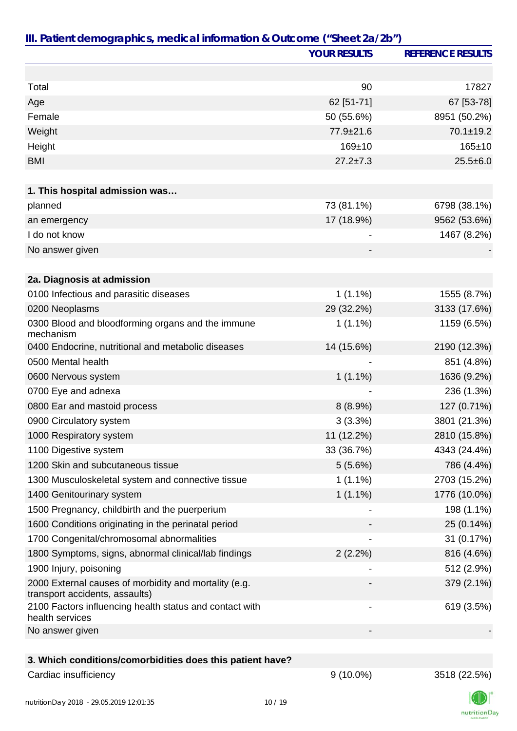|                                                                                         | <b>YOUR RESULTS</b> | <b>REFERENCE RESULTS</b> |
|-----------------------------------------------------------------------------------------|---------------------|--------------------------|
|                                                                                         |                     |                          |
| Total                                                                                   | 90                  | 17827                    |
| Age                                                                                     | 62 [51-71]          | 67 [53-78]               |
| Female                                                                                  | 50 (55.6%)          | 8951 (50.2%)             |
| Weight                                                                                  | 77.9±21.6           | $70.1 \pm 19.2$          |
| Height                                                                                  | 169±10              | $165 + 10$               |
| <b>BMI</b>                                                                              | $27.2 \pm 7.3$      | $25.5 \pm 6.0$           |
| 1. This hospital admission was                                                          |                     |                          |
| planned                                                                                 | 73 (81.1%)          | 6798 (38.1%)             |
| an emergency                                                                            | 17 (18.9%)          | 9562 (53.6%)             |
| I do not know                                                                           |                     | 1467 (8.2%)              |
| No answer given                                                                         |                     |                          |
|                                                                                         |                     |                          |
| 2a. Diagnosis at admission                                                              |                     |                          |
| 0100 Infectious and parasitic diseases                                                  | $1(1.1\%)$          | 1555 (8.7%)              |
| 0200 Neoplasms                                                                          | 29 (32.2%)          | 3133 (17.6%)             |
| 0300 Blood and bloodforming organs and the immune<br>mechanism                          | $1(1.1\%)$          | 1159 (6.5%)              |
| 0400 Endocrine, nutritional and metabolic diseases                                      | 14 (15.6%)          | 2190 (12.3%)             |
| 0500 Mental health                                                                      |                     | 851 (4.8%)               |
| 0600 Nervous system                                                                     | $1(1.1\%)$          | 1636 (9.2%)              |
| 0700 Eye and adnexa                                                                     |                     | 236 (1.3%)               |
| 0800 Ear and mastoid process                                                            | 8(8.9%)             | 127 (0.71%)              |
| 0900 Circulatory system                                                                 | $3(3.3\%)$          | 3801 (21.3%)             |
| 1000 Respiratory system                                                                 | 11 (12.2%)          | 2810 (15.8%)             |
| 1100 Digestive system                                                                   | 33 (36.7%)          | 4343 (24.4%)             |
| 1200 Skin and subcutaneous tissue                                                       | 5(5.6%)             | 786 (4.4%)               |
| 1300 Musculoskeletal system and connective tissue                                       | $1(1.1\%)$          | 2703 (15.2%)             |
| 1400 Genitourinary system                                                               | $1(1.1\%)$          | 1776 (10.0%)             |
| 1500 Pregnancy, childbirth and the puerperium                                           |                     | 198 (1.1%)               |
| 1600 Conditions originating in the perinatal period                                     |                     | 25 (0.14%)               |
| 1700 Congenital/chromosomal abnormalities                                               |                     | 31 (0.17%)               |
| 1800 Symptoms, signs, abnormal clinical/lab findings                                    | 2(2.2%)             | 816 (4.6%)               |
| 1900 Injury, poisoning                                                                  |                     | 512 (2.9%)               |
| 2000 External causes of morbidity and mortality (e.g.<br>transport accidents, assaults) |                     | 379 (2.1%)               |
| 2100 Factors influencing health status and contact with<br>health services              |                     | 619 (3.5%)               |
| No answer given                                                                         |                     |                          |
|                                                                                         |                     |                          |
| 3. Which conditions/comorbidities does this patient have?                               |                     |                          |
| Cardiac insufficiency                                                                   | $9(10.0\%)$         | 3518 (22.5%)             |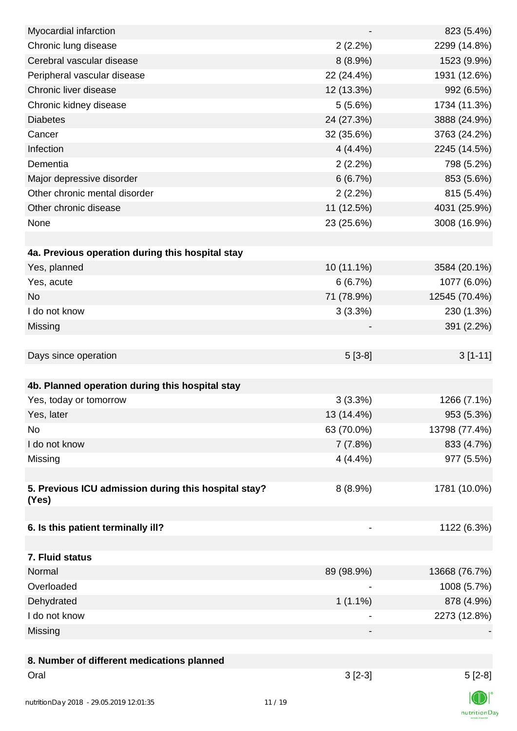| Myocardial infarction                                |                          | 823 (5.4%)     |
|------------------------------------------------------|--------------------------|----------------|
| Chronic lung disease                                 | 2(2.2%)                  | 2299 (14.8%)   |
| Cerebral vascular disease                            | $8(8.9\%)$               | 1523 (9.9%)    |
| Peripheral vascular disease                          | 22 (24.4%)               | 1931 (12.6%)   |
| Chronic liver disease                                | 12 (13.3%)               | 992 (6.5%)     |
| Chronic kidney disease                               | 5(5.6%)                  | 1734 (11.3%)   |
| <b>Diabetes</b>                                      | 24 (27.3%)               | 3888 (24.9%)   |
| Cancer                                               | 32 (35.6%)               | 3763 (24.2%)   |
| Infection                                            | 4(4.4%)                  | 2245 (14.5%)   |
| Dementia                                             | 2(2.2%)                  | 798 (5.2%)     |
| Major depressive disorder                            | 6(6.7%)                  | 853 (5.6%)     |
| Other chronic mental disorder                        | 2(2.2%)                  | 815 (5.4%)     |
| Other chronic disease                                | 11 (12.5%)               | 4031 (25.9%)   |
| None                                                 | 23 (25.6%)               | 3008 (16.9%)   |
|                                                      |                          |                |
| 4a. Previous operation during this hospital stay     |                          |                |
| Yes, planned                                         | 10 (11.1%)               | 3584 (20.1%)   |
| Yes, acute                                           | 6(6.7%)                  | 1077 (6.0%)    |
| <b>No</b>                                            | 71 (78.9%)               | 12545 (70.4%)  |
| I do not know                                        | 3(3.3%)                  | 230 (1.3%)     |
| Missing                                              |                          | 391 (2.2%)     |
|                                                      |                          |                |
| Days since operation                                 | $5[3-8]$                 | $3[1-11]$      |
|                                                      |                          |                |
| 4b. Planned operation during this hospital stay      |                          |                |
| Yes, today or tomorrow                               | 3(3.3%)                  | 1266 (7.1%)    |
| Yes, later                                           | 13 (14.4%)               | 953 (5.3%)     |
| No                                                   | 63 (70.0%)               | 13798 (77.4%)  |
| I do not know                                        | 7(7.8%)                  | 833 (4.7%)     |
| Missing                                              | 4(4.4%)                  | 977 (5.5%)     |
|                                                      |                          |                |
| 5. Previous ICU admission during this hospital stay? | $8(8.9\%)$               | 1781 (10.0%)   |
| (Yes)                                                |                          |                |
|                                                      |                          |                |
| 6. Is this patient terminally ill?                   | $\overline{\phantom{a}}$ | 1122 (6.3%)    |
|                                                      |                          |                |
| 7. Fluid status                                      |                          |                |
| Normal                                               | 89 (98.9%)               | 13668 (76.7%)  |
| Overloaded                                           |                          | 1008 (5.7%)    |
| Dehydrated                                           | $1(1.1\%)$               | 878 (4.9%)     |
| I do not know                                        | $\overline{\phantom{a}}$ | 2273 (12.8%)   |
| Missing                                              |                          |                |
|                                                      |                          |                |
| 8. Number of different medications planned           |                          |                |
| Oral                                                 | $3[2-3]$                 | $5[2-8]$       |
|                                                      |                          | $\blacksquare$ |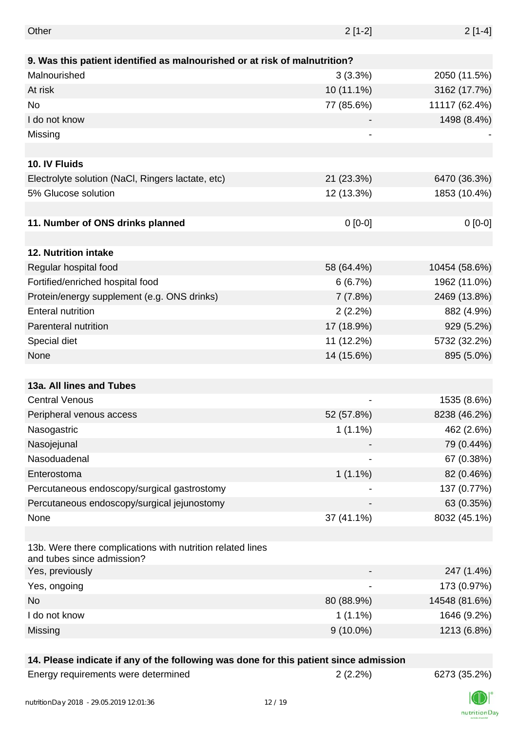| Other                                                                                    | $2[1-2]$                 | $2[1-4]$      |
|------------------------------------------------------------------------------------------|--------------------------|---------------|
|                                                                                          |                          |               |
| 9. Was this patient identified as malnourished or at risk of malnutrition?               |                          |               |
| Malnourished                                                                             | 3(3.3%)                  | 2050 (11.5%)  |
| At risk                                                                                  | 10 (11.1%)               | 3162 (17.7%)  |
| No                                                                                       | 77 (85.6%)               | 11117 (62.4%) |
| I do not know                                                                            |                          | 1498 (8.4%)   |
| Missing                                                                                  | -                        |               |
|                                                                                          |                          |               |
| 10. IV Fluids                                                                            |                          |               |
| Electrolyte solution (NaCl, Ringers lactate, etc)                                        | 21 (23.3%)               | 6470 (36.3%)  |
| 5% Glucose solution                                                                      | 12 (13.3%)               | 1853 (10.4%)  |
|                                                                                          |                          |               |
| 11. Number of ONS drinks planned                                                         | $0[0-0]$                 | $0[0-0]$      |
|                                                                                          |                          |               |
| 12. Nutrition intake                                                                     |                          |               |
| Regular hospital food                                                                    | 58 (64.4%)               | 10454 (58.6%) |
| Fortified/enriched hospital food                                                         | 6(6.7%)                  | 1962 (11.0%)  |
| Protein/energy supplement (e.g. ONS drinks)                                              | 7(7.8%)                  | 2469 (13.8%)  |
| <b>Enteral nutrition</b>                                                                 | 2(2.2%)                  | 882 (4.9%)    |
| Parenteral nutrition                                                                     | 17 (18.9%)               | 929 (5.2%)    |
| Special diet                                                                             | 11 (12.2%)               | 5732 (32.2%)  |
| None                                                                                     | 14 (15.6%)               | 895 (5.0%)    |
|                                                                                          |                          |               |
| 13a. All lines and Tubes                                                                 |                          |               |
| <b>Central Venous</b>                                                                    | $\overline{\phantom{0}}$ | 1535 (8.6%)   |
| Peripheral venous access                                                                 | 52 (57.8%)               | 8238 (46.2%)  |
| Nasogastric                                                                              | $1(1.1\%)$               | 462 (2.6%)    |
| Nasojejunal                                                                              |                          | 79 (0.44%)    |
| Nasoduadenal                                                                             |                          | 67 (0.38%)    |
| Enterostoma                                                                              | $1(1.1\%)$               | 82 (0.46%)    |
| Percutaneous endoscopy/surgical gastrostomy                                              |                          | 137 (0.77%)   |
| Percutaneous endoscopy/surgical jejunostomy                                              |                          | 63 (0.35%)    |
| None                                                                                     | 37 (41.1%)               | 8032 (45.1%)  |
|                                                                                          |                          |               |
| 13b. Were there complications with nutrition related lines<br>and tubes since admission? |                          |               |
| Yes, previously                                                                          |                          | 247 (1.4%)    |
| Yes, ongoing                                                                             |                          | 173 (0.97%)   |
| No                                                                                       | 80 (88.9%)               | 14548 (81.6%) |
| I do not know                                                                            | $1(1.1\%)$               | 1646 (9.2%)   |
| Missing                                                                                  | $9(10.0\%)$              | 1213 (6.8%)   |
|                                                                                          |                          |               |

# **14. Please indicate if any of the following was done for this patient since admission**

|  | Energy requirements were determined |  |
|--|-------------------------------------|--|
|--|-------------------------------------|--|

Energy requirements were determined 2 (2.2%) 6273 (35.2%)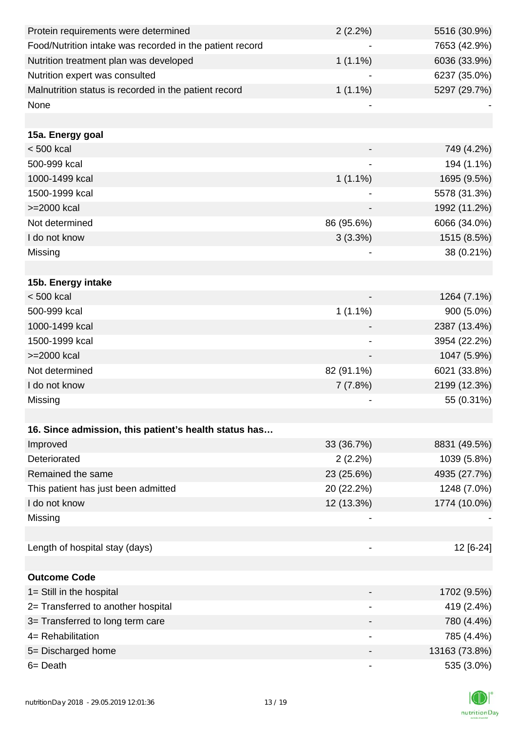| Protein requirements were determined                     | 2(2.2%)                  | 5516 (30.9%)  |
|----------------------------------------------------------|--------------------------|---------------|
| Food/Nutrition intake was recorded in the patient record |                          | 7653 (42.9%)  |
| Nutrition treatment plan was developed                   | $1(1.1\%)$               | 6036 (33.9%)  |
| Nutrition expert was consulted                           |                          | 6237 (35.0%)  |
| Malnutrition status is recorded in the patient record    | $1(1.1\%)$               | 5297 (29.7%)  |
| None                                                     |                          |               |
|                                                          |                          |               |
| 15a. Energy goal                                         |                          |               |
| < 500 kcal                                               |                          | 749 (4.2%)    |
| 500-999 kcal                                             |                          | 194 (1.1%)    |
| 1000-1499 kcal                                           | $1(1.1\%)$               | 1695 (9.5%)   |
| 1500-1999 kcal                                           |                          | 5578 (31.3%)  |
| >=2000 kcal                                              |                          | 1992 (11.2%)  |
| Not determined                                           | 86 (95.6%)               | 6066 (34.0%)  |
| I do not know                                            | 3(3.3%)                  | 1515 (8.5%)   |
| Missing                                                  |                          | 38 (0.21%)    |
|                                                          |                          |               |
| 15b. Energy intake                                       |                          |               |
| < 500 kcal                                               |                          | 1264 (7.1%)   |
| 500-999 kcal                                             | $1(1.1\%)$               | 900 (5.0%)    |
| 1000-1499 kcal                                           |                          | 2387 (13.4%)  |
| 1500-1999 kcal                                           |                          | 3954 (22.2%)  |
| >=2000 kcal                                              |                          | 1047 (5.9%)   |
| Not determined                                           | 82 (91.1%)               | 6021 (33.8%)  |
| I do not know                                            | 7(7.8%)                  | 2199 (12.3%)  |
| Missing                                                  |                          | 55 (0.31%)    |
|                                                          |                          |               |
| 16. Since admission, this patient's health status has    |                          |               |
| Improved                                                 | 33 (36.7%)               | 8831 (49.5%)  |
| Deteriorated                                             | 2(2.2%)                  | 1039 (5.8%)   |
| Remained the same                                        | 23 (25.6%)               | 4935 (27.7%)  |
| This patient has just been admitted                      | 20 (22.2%)               | 1248 (7.0%)   |
| I do not know                                            | 12 (13.3%)               | 1774 (10.0%)  |
| Missing                                                  |                          |               |
|                                                          |                          |               |
| Length of hospital stay (days)                           |                          | 12 [6-24]     |
|                                                          |                          |               |
| <b>Outcome Code</b>                                      |                          |               |
| 1= Still in the hospital                                 |                          | 1702 (9.5%)   |
| 2= Transferred to another hospital                       |                          | 419 (2.4%)    |
| 3= Transferred to long term care                         |                          | 780 (4.4%)    |
| 4= Rehabilitation                                        | $\overline{\phantom{a}}$ | 785 (4.4%)    |
| 5= Discharged home                                       |                          | 13163 (73.8%) |
| $6 = Death$                                              |                          | 535 (3.0%)    |

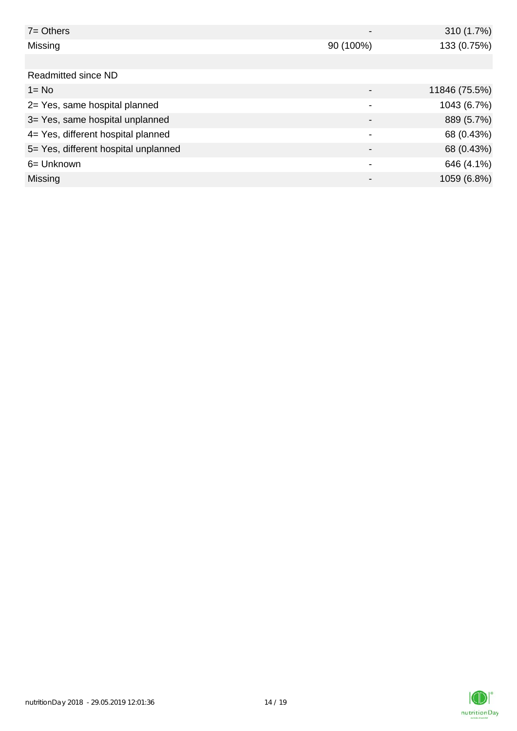| $7 =$ Others                         |                          | 310 (1.7%)    |
|--------------------------------------|--------------------------|---------------|
| Missing                              | 90 (100%)                | 133 (0.75%)   |
|                                      |                          |               |
| Readmitted since ND                  |                          |               |
| $1 = No$                             |                          | 11846 (75.5%) |
| 2= Yes, same hospital planned        | $\overline{\phantom{a}}$ | 1043 (6.7%)   |
| 3= Yes, same hospital unplanned      | $\overline{\phantom{a}}$ | 889 (5.7%)    |
| 4= Yes, different hospital planned   | ٠                        | 68 (0.43%)    |
| 5= Yes, different hospital unplanned |                          | 68 (0.43%)    |
| 6= Unknown                           |                          | 646 (4.1%)    |
| Missing                              |                          | 1059 (6.8%)   |

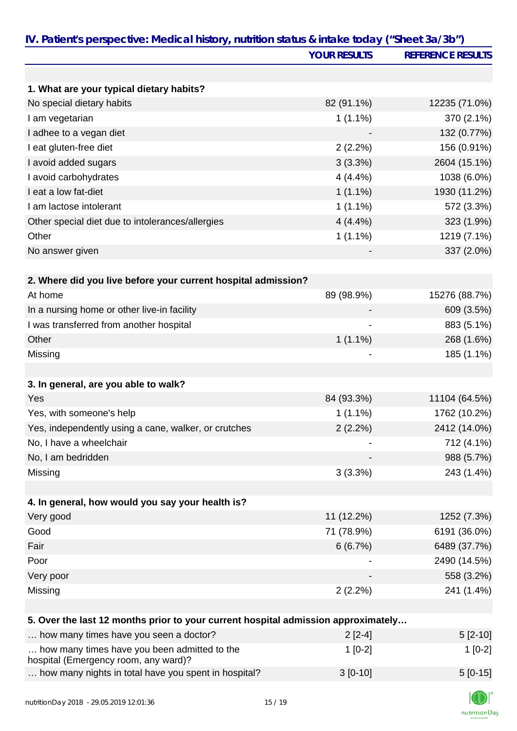|                                                                                      | <b>YOUR RESULTS</b> | <b>REFERENCE RESULTS</b> |
|--------------------------------------------------------------------------------------|---------------------|--------------------------|
|                                                                                      |                     |                          |
| 1. What are your typical dietary habits?                                             |                     |                          |
| No special dietary habits                                                            | 82 (91.1%)          | 12235 (71.0%)            |
| I am vegetarian                                                                      | $1(1.1\%)$          | 370 (2.1%)               |
| I adhee to a vegan diet                                                              |                     | 132 (0.77%)              |
| I eat gluten-free diet                                                               | 2(2.2%)             | 156 (0.91%)              |
| I avoid added sugars                                                                 | 3(3.3%)             | 2604 (15.1%)             |
| I avoid carbohydrates                                                                | 4(4.4%)             | 1038 (6.0%)              |
| I eat a low fat-diet                                                                 | $1(1.1\%)$          | 1930 (11.2%)             |
| I am lactose intolerant                                                              | $1(1.1\%)$          | 572 (3.3%)               |
| Other special diet due to intolerances/allergies                                     | 4(4.4%)             | 323 (1.9%)               |
| Other                                                                                | $1(1.1\%)$          | 1219 (7.1%)              |
| No answer given                                                                      |                     | 337 (2.0%)               |
| 2. Where did you live before your current hospital admission?                        |                     |                          |
| At home                                                                              | 89 (98.9%)          | 15276 (88.7%)            |
| In a nursing home or other live-in facility                                          |                     | 609 (3.5%)               |
| I was transferred from another hospital                                              |                     | 883 (5.1%)               |
| Other                                                                                | $1(1.1\%)$          | 268 (1.6%)               |
| Missing                                                                              |                     | 185 (1.1%)               |
|                                                                                      |                     |                          |
| 3. In general, are you able to walk?                                                 |                     |                          |
| Yes                                                                                  | 84 (93.3%)          | 11104 (64.5%)            |
| Yes, with someone's help                                                             | $1(1.1\%)$          | 1762 (10.2%)             |
| Yes, independently using a cane, walker, or crutches                                 | 2(2.2%)             | 2412 (14.0%)             |
| No, I have a wheelchair                                                              |                     | 712 (4.1%)               |
| No, I am bedridden                                                                   |                     | 988 (5.7%)               |
| Missing                                                                              | 3(3.3%)             | 243 (1.4%)               |
| 4. In general, how would you say your health is?                                     |                     |                          |
| Very good                                                                            | 11 (12.2%)          | 1252 (7.3%)              |
| Good                                                                                 | 71 (78.9%)          | 6191 (36.0%)             |
| Fair                                                                                 | 6(6.7%)             | 6489 (37.7%)             |
| Poor                                                                                 |                     | 2490 (14.5%)             |
| Very poor                                                                            |                     | 558 (3.2%)               |
| Missing                                                                              | 2(2.2%)             | 241 (1.4%)               |
|                                                                                      |                     |                          |
| 5. Over the last 12 months prior to your current hospital admission approximately    |                     |                          |
| how many times have you seen a doctor?                                               | $2[2-4]$            | $5[2-10]$                |
| how many times have you been admitted to the<br>hospital (Emergency room, any ward)? | $1[0-2]$            | $1[0-2]$                 |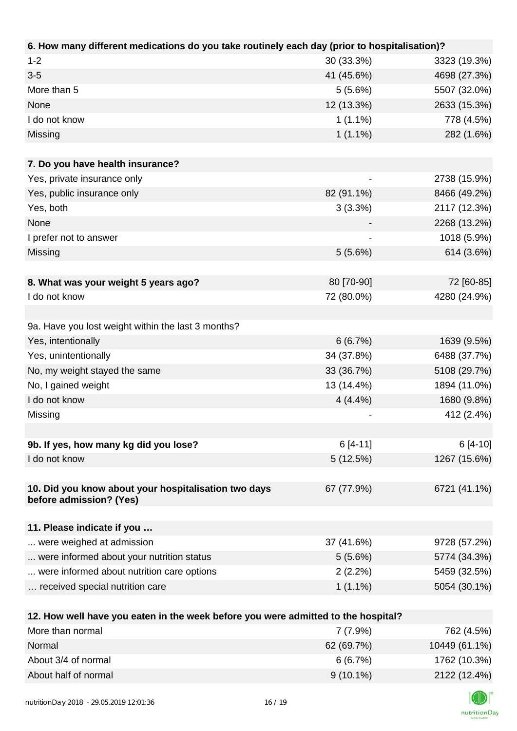| 6. How many different medications do you take routinely each day (prior to hospitalisation)? |            |              |
|----------------------------------------------------------------------------------------------|------------|--------------|
| $1 - 2$                                                                                      | 30 (33.3%) | 3323 (19.3%) |
| $3-5$                                                                                        | 41 (45.6%) | 4698 (27.3%) |
| More than 5                                                                                  | 5(5.6%)    | 5507 (32.0%) |
| None                                                                                         | 12 (13.3%) | 2633 (15.3%) |
| I do not know                                                                                | $1(1.1\%)$ | 778 (4.5%)   |
| Missing                                                                                      | $1(1.1\%)$ | 282 (1.6%)   |
|                                                                                              |            |              |
| 7. Do you have health insurance?                                                             |            |              |
| Yes, private insurance only                                                                  |            | 2738 (15.9%) |
| Yes, public insurance only                                                                   | 82 (91.1%) | 8466 (49.2%) |
| Yes, both                                                                                    | 3(3.3%)    | 2117 (12.3%) |
| None                                                                                         |            | 2268 (13.2%) |
| I prefer not to answer                                                                       |            | 1018 (5.9%)  |
| Missing                                                                                      | 5(5.6%)    | 614 (3.6%)   |
|                                                                                              |            |              |
| 8. What was your weight 5 years ago?                                                         | 80 [70-90] | 72 [60-85]   |
| I do not know                                                                                | 72 (80.0%) | 4280 (24.9%) |
|                                                                                              |            |              |
| 9a. Have you lost weight within the last 3 months?                                           |            |              |
| Yes, intentionally                                                                           | 6(6.7%)    | 1639 (9.5%)  |
| Yes, unintentionally                                                                         | 34 (37.8%) | 6488 (37.7%) |
| No, my weight stayed the same                                                                | 33 (36.7%) | 5108 (29.7%) |
| No, I gained weight                                                                          | 13 (14.4%) | 1894 (11.0%) |
| I do not know                                                                                | 4(4.4%)    | 1680 (9.8%)  |
| Missing                                                                                      |            | 412 (2.4%)   |
|                                                                                              |            |              |
| 9b. If yes, how many kg did you lose?                                                        | $6[4-11]$  | $6[4-10]$    |
| I do not know                                                                                | 5(12.5%)   | 1267 (15.6%) |
|                                                                                              |            |              |
| 10. Did you know about your hospitalisation two days<br>before admission? (Yes)              | 67 (77.9%) | 6721 (41.1%) |
|                                                                                              |            |              |
| 11. Please indicate if you                                                                   |            |              |
| were weighed at admission                                                                    | 37 (41.6%) | 9728 (57.2%) |
| were informed about your nutrition status                                                    | 5(5.6%)    | 5774 (34.3%) |
| were informed about nutrition care options                                                   | $2(2.2\%)$ | 5459 (32.5%) |
| received special nutrition care                                                              | $1(1.1\%)$ | 5054 (30.1%) |
|                                                                                              |            |              |
| 12. How well have you eaten in the week before you were admitted to the hospital?            |            |              |
| More than normal                                                                             | 7 (7.9%)   | 762 (4.5%)   |

| More than normal     | $7(7.9\%)$  | 762 (4.5%)    |
|----------------------|-------------|---------------|
| Normal               | 62 (69.7%)  | 10449 (61.1%) |
| About 3/4 of normal  | 6(6.7%)     | 1762 (10.3%)  |
| About half of normal | $9(10.1\%)$ | 2122 (12.4%)  |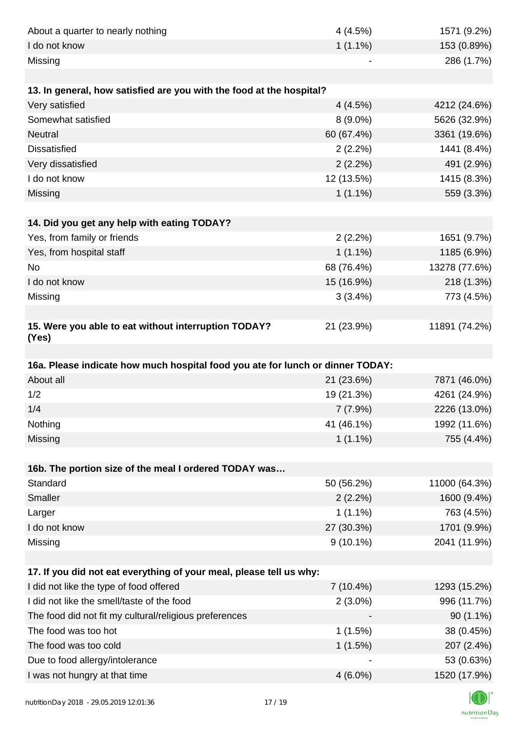| About a quarter to nearly nothing                                              | 4(4.5%)     | 1571 (9.2%)   |
|--------------------------------------------------------------------------------|-------------|---------------|
| I do not know                                                                  | $1(1.1\%)$  | 153 (0.89%)   |
| Missing                                                                        |             | 286 (1.7%)    |
|                                                                                |             |               |
| 13. In general, how satisfied are you with the food at the hospital?           |             |               |
| Very satisfied                                                                 | 4(4.5%)     | 4212 (24.6%)  |
| Somewhat satisfied                                                             | $8(9.0\%)$  | 5626 (32.9%)  |
| Neutral                                                                        | 60 (67.4%)  | 3361 (19.6%)  |
| <b>Dissatisfied</b>                                                            | 2(2.2%)     | 1441 (8.4%)   |
| Very dissatisfied                                                              | 2(2.2%)     | 491 (2.9%)    |
| I do not know                                                                  | 12 (13.5%)  | 1415 (8.3%)   |
| Missing                                                                        | $1(1.1\%)$  | 559 (3.3%)    |
|                                                                                |             |               |
| 14. Did you get any help with eating TODAY?                                    |             |               |
| Yes, from family or friends                                                    | 2(2.2%)     | 1651 (9.7%)   |
| Yes, from hospital staff                                                       | $1(1.1\%)$  | 1185 (6.9%)   |
| <b>No</b>                                                                      | 68 (76.4%)  | 13278 (77.6%) |
| I do not know                                                                  | 15 (16.9%)  | 218 (1.3%)    |
| Missing                                                                        | 3(3.4%)     | 773 (4.5%)    |
|                                                                                |             |               |
| 15. Were you able to eat without interruption TODAY?<br>(Yes)                  | 21 (23.9%)  | 11891 (74.2%) |
|                                                                                |             |               |
| 16a. Please indicate how much hospital food you ate for lunch or dinner TODAY: |             |               |
| About all                                                                      | 21 (23.6%)  | 7871 (46.0%)  |
| 1/2                                                                            | 19 (21.3%)  | 4261 (24.9%)  |
| 1/4                                                                            | 7(7.9%)     | 2226 (13.0%)  |
| Nothing                                                                        | 41 (46.1%)  | 1992 (11.6%)  |
| Missing                                                                        | $1(1.1\%)$  | 755 (4.4%)    |
|                                                                                |             |               |
| 16b. The portion size of the meal I ordered TODAY was                          |             |               |
| Standard                                                                       | 50 (56.2%)  | 11000 (64.3%) |
| <b>Smaller</b>                                                                 | 2(2.2%)     | 1600 (9.4%)   |
| Larger                                                                         | $1(1.1\%)$  | 763 (4.5%)    |
| I do not know                                                                  | 27 (30.3%)  | 1701 (9.9%)   |
| Missing                                                                        | $9(10.1\%)$ | 2041 (11.9%)  |
| 17. If you did not eat everything of your meal, please tell us why:            |             |               |
| I did not like the type of food offered                                        | 7 (10.4%)   | 1293 (15.2%)  |
| I did not like the smell/taste of the food                                     | $2(3.0\%)$  | 996 (11.7%)   |
| The food did not fit my cultural/religious preferences                         |             | $90(1.1\%)$   |
| The food was too hot                                                           | 1(1.5%)     | 38 (0.45%)    |
| The food was too cold                                                          | 1(1.5%)     | 207 (2.4%)    |
| Due to food allergy/intolerance                                                |             | 53 (0.63%)    |
| I was not hungry at that time                                                  | $4(6.0\%)$  | 1520 (17.9%)  |
|                                                                                |             |               |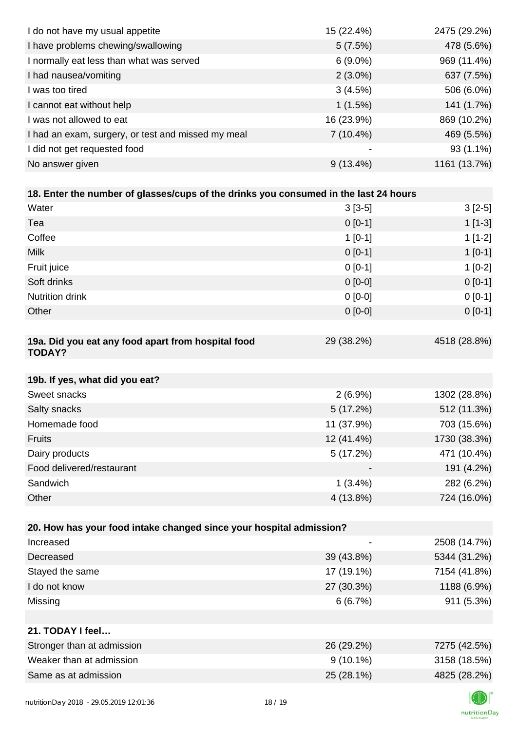| I do not have my usual appetite                                                      | 15 (22.4%)               | 2475 (29.2%) |
|--------------------------------------------------------------------------------------|--------------------------|--------------|
| I have problems chewing/swallowing                                                   | 5(7.5%)                  | 478 (5.6%)   |
| I normally eat less than what was served                                             | $6(9.0\%)$               | 969 (11.4%)  |
| I had nausea/vomiting                                                                | $2(3.0\%)$               | 637 (7.5%)   |
| I was too tired                                                                      | 3(4.5%)                  | 506 (6.0%)   |
| I cannot eat without help                                                            | 1(1.5%)                  | 141 (1.7%)   |
| I was not allowed to eat                                                             | 16 (23.9%)               | 869 (10.2%)  |
| I had an exam, surgery, or test and missed my meal                                   | $7(10.4\%)$              | 469 (5.5%)   |
| I did not get requested food                                                         |                          | $93(1.1\%)$  |
| No answer given                                                                      | $9(13.4\%)$              | 1161 (13.7%) |
|                                                                                      |                          |              |
| 18. Enter the number of glasses/cups of the drinks you consumed in the last 24 hours |                          |              |
| Water                                                                                | $3[3-5]$                 | $3[2-5]$     |
| Tea                                                                                  | $0[0-1]$                 | $1[1-3]$     |
| Coffee                                                                               | $1[0-1]$                 | $1[1-2]$     |
| <b>Milk</b>                                                                          | $0[0-1]$                 | $1[0-1]$     |
| Fruit juice                                                                          | $0[0-1]$                 | $1[0-2]$     |
| Soft drinks                                                                          | $0[0-0]$                 | $0 [0-1]$    |
| Nutrition drink                                                                      | $0[0-0]$                 | $0 [0-1]$    |
| Other                                                                                | $0[0-0]$                 | $0 [0-1]$    |
|                                                                                      |                          |              |
| 19a. Did you eat any food apart from hospital food<br><b>TODAY?</b>                  | 29 (38.2%)               | 4518 (28.8%) |
| 19b. If yes, what did you eat?                                                       |                          |              |
| Sweet snacks                                                                         | $2(6.9\%)$               | 1302 (28.8%) |
| Salty snacks                                                                         | 5(17.2%)                 | 512 (11.3%)  |
| Homemade food                                                                        | 11 (37.9%)               | 703 (15.6%)  |
| <b>Fruits</b>                                                                        | 12 (41.4%)               | 1730 (38.3%) |
| Dairy products                                                                       | 5 (17.2%)                | 471 (10.4%)  |
| Food delivered/restaurant                                                            |                          | 191 (4.2%)   |
| Sandwich                                                                             | $1(3.4\%)$               | 282 (6.2%)   |
| Other                                                                                | 4 (13.8%)                | 724 (16.0%)  |
|                                                                                      |                          |              |
| 20. How has your food intake changed since your hospital admission?                  |                          |              |
| Increased                                                                            | $\overline{\phantom{a}}$ | 2508 (14.7%) |
| Decreased                                                                            | 39 (43.8%)               | 5344 (31.2%) |
| Stayed the same                                                                      | 17 (19.1%)               | 7154 (41.8%) |
| I do not know                                                                        | 27 (30.3%)               | 1188 (6.9%)  |
| Missing                                                                              | 6(6.7%)                  | 911 (5.3%)   |
|                                                                                      |                          |              |
| 21. TODAY I feel                                                                     |                          |              |
| Stronger than at admission                                                           | 26 (29.2%)               | 7275 (42.5%) |
| Weaker than at admission                                                             | $9(10.1\%)$              | 3158 (18.5%) |
| Same as at admission                                                                 | 25 (28.1%)               | 4825 (28.2%) |
|                                                                                      |                          |              |